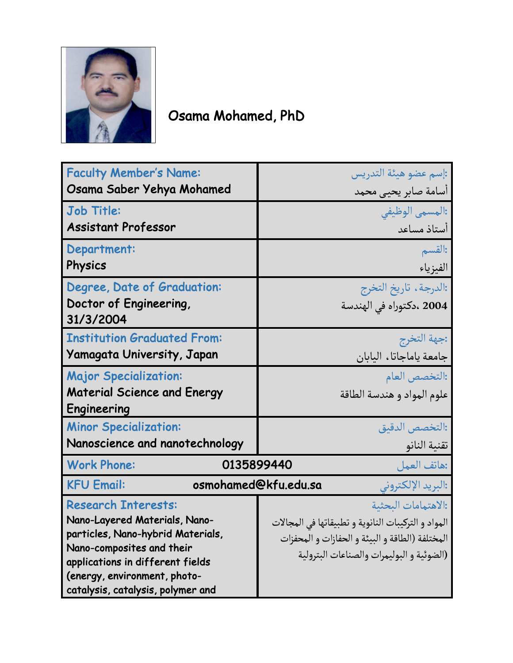

## Osama Mohamed, PhD

| <b>Faculty Member's Name:</b>                                   | :إسم عضو هيئة التدريس                               |
|-----------------------------------------------------------------|-----------------------------------------------------|
| Osama Saber Yehya Mohamed                                       | أسامة صابر يحيى محمد                                |
| <b>Job Title:</b>                                               | :المسمى الوظيفى                                     |
| <b>Assistant Professor</b>                                      | أستاذ مساعد                                         |
| Department:                                                     | :القسم                                              |
| Physics                                                         | الفيزياء                                            |
| Degree, Date of Graduation:                                     | :الدرجة، تاريخ التخرج                               |
| Doctor of Engineering,                                          | 2004 ،دكتوراه في الهندسة                            |
| 31/3/2004                                                       |                                                     |
| <b>Institution Graduated From:</b>                              | :جهة التخرج                                         |
| <b>Yamagata University, Japan</b>                               | جامعة ياماجاتا، اليابان                             |
| <b>Major Specialization:</b>                                    | :التخصص العام                                       |
| <b>Material Science and Energy</b>                              | علوم المواد و هندسة الطاقة                          |
| Engineering                                                     |                                                     |
| <b>Minor Specialization:</b>                                    | :التخصص الدقيق                                      |
| Nanoscience and nanotechnology                                  | تقنية النانو                                        |
| <b>Work Phone:</b><br>0135899440                                | :هاتف العمل                                         |
| <b>KFU Email:</b><br>osmohamed@kfu.edu.sa<br>:البريد الإلكتروني |                                                     |
| <b>Research Interests:</b>                                      | الاهتمامات البحثية:                                 |
| Nano-Layered Materials, Nano-                                   | المواد و التركيبات النانوية و تطبيقاتها في المجالات |
| particles, Nano-hybrid Materials,                               | المختلفة (الطاقة و البيئة و الحفازات و المحفزات     |
| Nano-composites and their<br>applications in different fields   | (الضوئية و البوليمرات والصناعات البترولية           |
| (energy, environment, photo-                                    |                                                     |
| catalysis, catalysis, polymer and                               |                                                     |